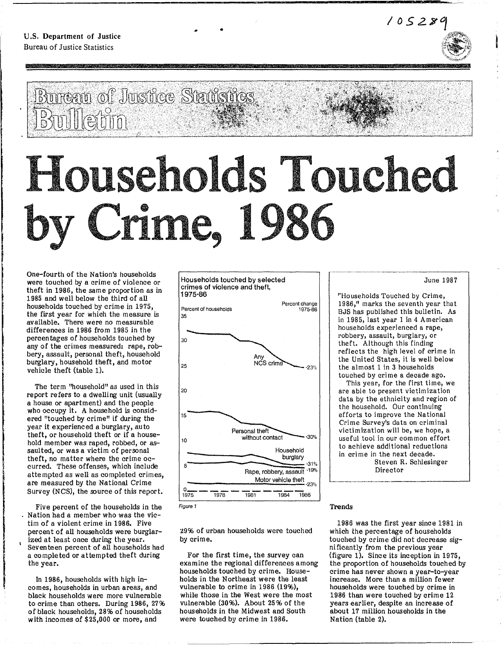**, M** A



**Pi** 



**ED-\_** 

# entin

'e:rn=mr **Badh &** 

..

# ou **hoI Crime, 19**

One-fourth of the Nation's households were touched by a crime of violence or theft in 1986, the same proportion as in 1985 and well below the third of all households touched by crime in 1975, the first year for which the measure is available. There were no measurable differences in 1986 from 1985 in the percentages of households touched by any of the crimes measured: rape, robbery, assault, personal theft, household burglary, household theft, and motor vehicle theft (table 1).

I The term ''household'' as used in this report refers to a dwelling unit (usually a house or apartment) and the people who occupy it. A household is considered "touched by crime" if during the year it experienced a burglary, auto theft, or household theft or if a household member was raped, robbed, or assaulted, or was a victim of personal theft, no matter where the crime occurred. These offenses, which include atte mpted as well as completed crimes, are measured by the National Crime Survey (NCS), the source of this report.

ina ang kalamatang pagkalang na mga magalang na mga magalang na magalang na magalang na magalang na magalang n<br>Isang mga magalang na magalang na magalang na magalang na magalang na magalang na magalang na magalang na maga

Five percent of the households in the Nation had a member who was the victim of a violent crime in 1986. Five percent of all households were burglarized at least once during the year. Seventeen percent of all households had a completed or attempted theft during the year.

In 1986, households with high incomes, households in urban areas, and black households were more vulnerable to crime than others. During 1986, 27% of black households, 28% of households with incomes of \$25,000 or more, and



Figura 1

29% of urban households were touched by crime.

For the first time, the survey can examine the regional differences among households touched by crime. Households in the Northeast were the least vulnerable to crime in 1986 (19%), while those in the West were the most vulnerable (30%). About 25 % of the households in the Midwest and South were touched by crime in 1986.

#### June 1987

"Households Touched by Crime, 1986," marks the seventh year that BJS has published this bulletin. As in 1985, last year 1 in 4 American households experienced a rape, robbery, assault, burglary, or theft. Although this finding reflects the high level of crime in the United States, it is well below the almost 1 in 3 households touched by crime a decade ago.

This year, for the first time, we are able to present victimization data by the ethnicity and region of the household. Our continuing efforts to improve the National Crime Survey's data on criminal victimization will be, we hope, a useful tool in our com mon effort to achieve additional reductions in crime in the next decade.

Steven R. Schlesinger Director

#### Trends

1986 was the first year since 1981 in which the percentage of households touched by crime did not decrease significantly from the previous year (figure 1). Since its inception in 1975, the proportion of households touched by crime has never shown a year-to-year increase. More than a million fewer households were touched by crime in 1986 than were touched by crime 12 years earlier, despite an increase of about 17 million households in the Nation (table 2).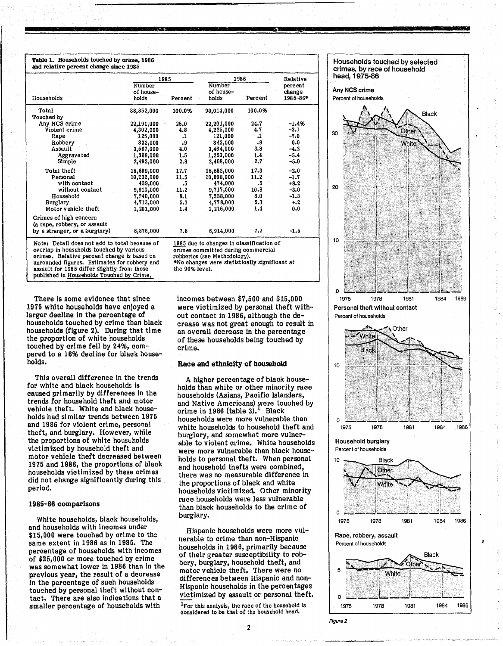#### Table 1. Households touched by crime, 1986 and relative percent change since 1985

|                                               |               | 1985      | 1986                                     | Relative |          |  |
|-----------------------------------------------|---------------|-----------|------------------------------------------|----------|----------|--|
|                                               | <b>Number</b> |           | <b>Number</b>                            |          | percent  |  |
|                                               | of house-     |           | of house-                                |          | change   |  |
| Households                                    | holds         | Percent   | holds                                    | Percent  | 1985-86* |  |
| Total                                         | 88,852,000    | 100.0%    | 90,014,000                               | 100.0%   |          |  |
| Touched by                                    |               |           |                                          |          |          |  |
| Any NCS crime                                 | 22,191,000    | 25.0      | 22,201,000                               | 24.7     | $-1.4%$  |  |
| Violent crime                                 | 4,302,000     | 4.8       | 4,225,000                                | 4.7      | $-3.1$   |  |
| Rape                                          | 125,000       | .1        | 121,000                                  | $\cdot$  | $-7.0$   |  |
| Robbery                                       | 832,000       | $\cdot$ 9 | 843,000                                  | .9       | 0.0      |  |
| Assault                                       | 3,567,000     | 4.0       | 3,464,000                                | 3.8      | $-4.2$   |  |
| Aggravated                                    | 1,309,000     | 1.5       | 1,253,000                                | 1.4      | $-5.4$   |  |
| Simple                                        | 2,492,000     | 2.8       | 2,408,000                                | 2.7      | $-5.0$   |  |
| Total theft                                   | 15,699,000    | 17.7      | 15,582,000                               | 17.3     | $-2.0$   |  |
| Personal                                      | 10,232,000    | 11.5      | 10,098,000                               | 11.2     | $-1.7$   |  |
| with contact                                  | 439,000       | .5        | 474,000                                  | .5       | $+8.2$   |  |
| without contact                               | 9,910,000     | 11.2      | 9,717,000                                | 10.8     | $-3.0$   |  |
| Household                                     | 7,240,000     | 8.1       | 7,238,000                                | 8.0      | $-1.3$   |  |
| Burglary                                      | 4,713,000     | 5.3       | 4,778,000                                | 5.3      | $+2$     |  |
| Motor vehicle theft                           | 1,201,000     | 1.4       | 1,216,000                                | 1.4      | 0.0      |  |
| Crimes of high concern                        |               |           |                                          |          |          |  |
| (a rape, robbery, or assault                  |               |           |                                          |          |          |  |
| by a stranger, or a burglary)                 | 6,876,000     | 7.8       | 6,914,000                                | 7.7      | $-1.5$   |  |
| Note: Detail does not add to total because of |               |           | 1985 due to changes in classification of |          |          |  |
| overlap in households touched by various      |               |           | crimes committed during commercial       |          |          |  |
| crimes. Relative percent change is based on   |               |           | robberies (see Methodology).             |          |          |  |

crimes. Relative percent change is based on unrounded figures. Estima tes for robbery and assault for 1985 differ slightly from those published in Households Touched by Crime,

robberies (see Methodology). .No changes were statistically significant at the 90% level.

Ii **2(** 

There is some evidence that since 1975 white households have enjoyed a larger decline in the percentage of households touched by crime than black households (figure 2). During that time the proportion of white households touched by crime fell by 24%, compared to a 1696 decline for black households.

This overall difference in the trends for white and black households is caused primarily by differences in the trends for household theft and motor vehicle theft. White and black households had similar trends between 1975 and 1986 for violent crime, personal theft, and burglary. However, while the proportions of white households victimized by household theft and motor vehicle theft decreased between 1975 and 1986, the proportions of black households victimized by these crimes did not change significantly during this period.

#### 1985-86 comparisons

White households, black households, and households with Incomes under \$15,000 were touched by crime to the same extent in 1986 as in 1985. The percentage of households with incomes of \$25,000 or more touched by crime was somewhat lower in 1986 than in the previous year, the result of a decrease in the percentage of such households touched by personal theft without contact. There are also indications that a smaller percentage of households with

incomes between \$7,500 and \$15,000 were victimized by personal theft without contact in 1986, although the decrease was not great enough to result in an overall decrease in the percentage of these households being touched by crime.

#### Race and etbnicity of bousehold

A higher percentage of black households than white or other minority race households (Asians, Pacific Islanders, and Native Americans) were touched by crime in 1986 (table  $3$ ).<sup>1</sup> Black households were more vulnerable than white households to household theft and burglary, and somewhat more vulnerable to violent crime. White households were more vulnerable than black households to personal theft. When personal and household thefts were combined, there was no measurable difference in the proportions of black and white households victimized. Other minority race households were less vulnerable than black households to the crime of burglary.

Hispanic households were more vulnerable to crime than non-Hispanic households in 1986, primarily because of their greater susceptibility to robbery, burglary, household theft, and motor vehicle theft. There were no differences between Hispanic and non-Hispanic households in the percentages victimized by assault or personal theft.

 $1$ For this analysis, the race of the household is considered to be that or the household head.

2





Figure 2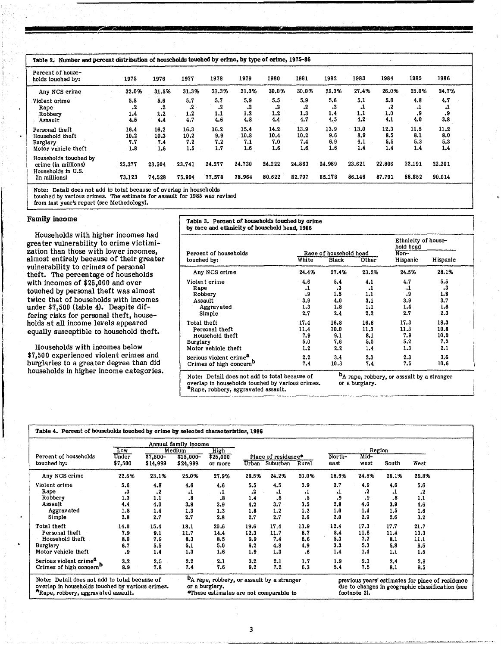| Table 2. Number and percent distribution of households touched by crime, by type of crime, 1975-86 |                            |                            |                            |                           |                            |                            |                            |                           |                           |                           |                           |                           |
|----------------------------------------------------------------------------------------------------|----------------------------|----------------------------|----------------------------|---------------------------|----------------------------|----------------------------|----------------------------|---------------------------|---------------------------|---------------------------|---------------------------|---------------------------|
| Percent of house-<br>holds touched by:                                                             | 1975                       | 1976                       | 1977                       | 1978                      | 1979                       | 1980                       | 1981                       | 1982                      | 1983                      | 1984                      | 1985                      | 1986                      |
| Any NCS crime                                                                                      | 32.0%                      | 31.5%                      | 31.3%                      | 31.3%                     | 31.3%                      | 30.0%                      | 30.0%                      | 29.3%                     | 27.4%                     | 26.0%                     | 25.0%                     | 24.7%                     |
| Violent crime<br>Rape<br>Robbery<br>Assault                                                        | 5.8<br>.2<br>1.4<br>4.5    | 5.6<br>.2<br>1.2<br>4.4    | 5.7<br>.2<br>1.2<br>4.7    | 5.7<br>. 2<br>1.1<br>4.6  | 5.9<br>.2<br>1.2<br>4.8    | 5.5<br>.2<br>1.2<br>4.4    | 5.9<br>.2<br>1.3<br>4.7    | 5.6<br>.2<br>1.4<br>4.5   | 5.1<br>. .<br>1.1<br>4.2  | 5.0<br>.2<br>1.0<br>4.1   | 4.8<br>٠٠<br>.9<br>4.0    | 4.7<br>٠.<br>٠9<br>3.8    |
| Personal theft<br>Household theft<br>Burglary<br>Motor vehicle theft                               | 16.4<br>10.2<br>7.7<br>1.8 | 16.2<br>10.3<br>7.4<br>1.6 | 16.3<br>10.2<br>7.2<br>1.5 | 16.2<br>9.9<br>7.2<br>1.7 | 15.4<br>10.8<br>7.1<br>1.6 | 14.2<br>10.4<br>7.0<br>1.6 | 13.9<br>10.2<br>7.4<br>1.6 | 13.9<br>9.6<br>6.9<br>1.6 | 13.0<br>8.9<br>6.1<br>1.4 | 12.3<br>8.5<br>5.5<br>1.4 | 11.5<br>8.1<br>5.3<br>1.4 | 11.2<br>8.0<br>5.3<br>1.4 |
| Households touched by<br>crime (in millions)<br>Households in U.S.<br>(in millions)                | 23.377<br>73.123           | 23.504<br>74.528           | 23.741<br>75.904           | 24.277<br>77.578          | 24.730<br>78.964           | 24.222<br>80.622           | 24.863<br>82.797           | 24.989<br>85.178          | 23.621<br>86.146          | 22,806<br>87.791          | 22.191<br>88.852          | 22.201<br>90.014          |

Note: Detail does not add to total because of overlap in households

touched by various crimes. The estimate for assault for 1985 was revised

from last year's report (see Methodology).

#### Family income

Households with higher incomes had greater vulnerability to crime victimization than those with lower incomes, almost entirely because of their greater vulnerability to crimes of personal theft. The percentage of households with incomes of \$25,000 and over touched by personal theft was almost twice that of households with incomes under \$7,500 (table 4). Despite differing risks for personal theft, households at all income levels appeared equally susceptible to household theft.

Households with incomes below \$7,500 experienced violent crimes and burglaries to a greater degree than did households in higher income categories.

|                                     |       |                        |       | Ethnicity of house-<br>hold head |          |
|-------------------------------------|-------|------------------------|-------|----------------------------------|----------|
| Percent of households               |       | Race of household head | Non-  |                                  |          |
| touched by:                         | White | Black                  | Other | <b>H</b> ispanic                 | Hispanic |
| Any NCS crime                       | 24.4% | 27.4%                  | 23.2% | 24.5%                            | 28.1%    |
| Violent crime                       | 4.6   | 5.4                    | 4.1   | 4.7                              | 5.5      |
| Rape                                | ،1    | $\cdot$ <sub>3</sub>   | .1    | $\cdot$                          | .3       |
| Robbery                             | .9    | 1.5                    | 1.1   | و.                               | 1.8      |
| Assault                             | 3.9   | 4.0                    | 3.1   | 3.9                              | 3.7      |
| Aggravated                          | 1,3   | 1.8                    | 1.1   | 1.4                              | 1.6      |
| Simple                              | 2.7   | 2.4                    | 2.2   | 2.7                              | 2,3      |
| Total theft                         | 17.4  | 16.8                   | 16.8  | 17.3                             | 18.3     |
| Personal theft                      | 11.4  | 10.0                   | 11.3  | 11.3                             | 10.8     |
| Household theft                     | 7.9   | 9.1                    | 8.1   | 7.9                              | 10.0     |
| Burglary                            | 5.0   | 7.6                    | 5.0   | 5.2                              | 7.3      |
| Motor vehicle theft                 | 1.2   | 2.2                    | 1.4   | 1.3                              | 2.1      |
| Serious violent crime <sup>a</sup>  | 2.2   | 3.4                    | 2.3   | 2.3                              | 3.6      |
| Crimes of high concern <sup>b</sup> | 7.4   | 10.3                   | 7.4   | 7.5                              | 10.6     |

|                                      | Annual family income |                       |                        |                     |       |                                 |       |                |              |       |           |  |
|--------------------------------------|----------------------|-----------------------|------------------------|---------------------|-------|---------------------------------|-------|----------------|--------------|-------|-----------|--|
| Low                                  |                      | Medium                |                        | High                |       | Region                          |       |                |              |       |           |  |
| Percent of households<br>touched by: | Under<br>\$7,500     | $$7,500-$<br>\$14,999 | $$15,000-$<br>\$24,999 | \$25,000<br>or more | Urban | Place of residence*<br>Suburban | Rural | North-<br>east | Mid-<br>west | South | West      |  |
| Any NCS crime                        | 22.5%                | 23.1%                 | 25.0%                  | 27.9%               | 28.5% | 24.2%                           | 20.0% | 18.9%          | 24.8%        | 25.1% | 29.8%     |  |
| Violent crime                        | 5.6                  | 4.8                   | 4.6                    | 4.6                 | 5.5   | 4.5                             | 3.9   | 3.7            | 4.9          | 4.6   | 5.6       |  |
| Rape                                 | .3                   | $\cdot^2$             | .1                     | .1                  | .2    | .1                              | .1    | .1             | .2           | .1    | $\cdot^2$ |  |
| Robbery                              | 1,3                  | 1.1                   | .8                     | .8                  | 1.4   | .8                              | .5    | .9             | 9.           | .8    | 1.1       |  |
| Assault                              | 4.4                  | 4.0                   | 3.8                    | 3.9                 | 4.2   | 3.7                             | 3.5   | 2,8            | 4.0          | 3.9   | 4.6       |  |
| Aggravated                           | 1.8                  | 1.4                   | 1.3                    | 1,3                 | 1.8   | 1.2                             | 1.2   | 1.0            | 1.4          | 1.5   | 1.6       |  |
| Simple                               | 2.8                  | 2.7                   | 2.7                    | 2.8                 | 2.7   | 2.7                             | 2.6   | 2.0            | 2.9          | 2.6   | 3.2       |  |
| Total theft                          | 14.0                 | 15.4                  | 18.1                   | 20.6                | 19.6  | 17.4                            | 13.9  | 12.4           | 17.3         | 17.7  | 21.7      |  |
| Personal theft                       | 7.9                  | 9.1                   | 11.7                   | 14.4                | 12.3  | 11.7                            | 8.7   | 8.4            | 11.6         | 11.4  | 13.3      |  |
| Household theft                      | 8.0                  | 7.9                   | 8.3                    | 8.5                 | 9.9   | 7.4                             | 6.6   | 5.3            | 7.7          | 8.1   | 11.1      |  |
| Burglary                             | 6.7                  | 5.5                   | 5.1                    | 5.0                 | 6.2   | 4.8                             | 4.9   | 3.3            | 5.3          | 5.8   | 6.5       |  |
| Motor vehicle theft                  | ٠9                   | 1.4                   | 1.3                    | 1.6                 | 1.9   | 1.3                             | .6    | 1.4            | 1.4          | 1.1   | 1.5       |  |
| Serious violent crime <sup>a</sup>   | 3,2                  | 2.5                   | 2.2                    | 2.1                 | 3.2   | 2.1                             | 1.7   | 1.9            | 2.3          | 2.4   | 2.8       |  |
| Crimes of high concern <sup>b</sup>  | 8.9                  | 7.8                   | 7.4                    | 7.6                 | 9.2   | 7.2                             | 6.3   | 5.4            | 7.5          | 8.1   | 9.5       |  |

3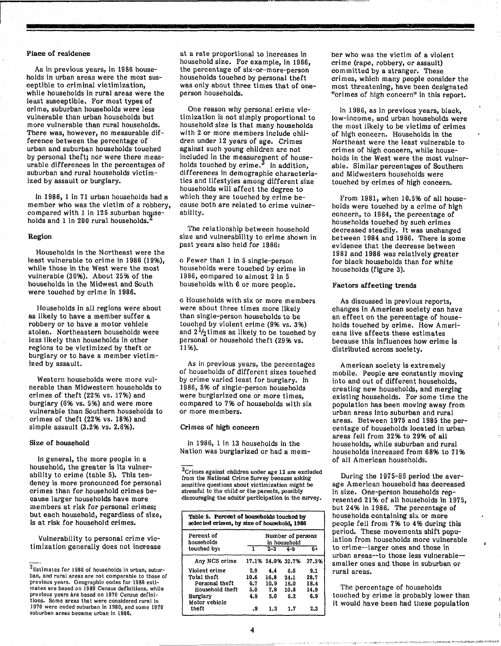#### Place of residence

As in previous years, in 1986 households in urban areas were the most susceptible to criminal victimization, while households in rural areas were the least susceptible. For most types of cri me, suburban households were less vulnerable than urban households but more vulnerable than rural households. There was, however, no measurable difference between the percentage of urban and suburban households touched by personal theft; nor were there measurable differences in the percentages of suburban and rural households victimized by assault or burglary.

In 1986, 1 in 71 urban households had a member who was the victim of a robbery, compared with  $1$  in  $125$  suburban households and 1 in 200 rural households.

#### Region

Households in the Northeast were the least vulnerable to crime in 1986 (19%), while those in the West were the most vulnerable (3096). About 2596 of the households in the Midwest and South were touched by crime in 1986.

Households in all regions were about as likely to have a member suffer a robbery or to have a motor vehicle stolen. Northeastern households were less likely than households in other regions to be victimized by theft or burglary or to have a member victimized by assault.

Western households were more vulnerable than Midwestern households to crimes of theft (22% vs. 1796) and burglary (696 vs. 5%) and were more vulnerable than Southern households to crimes of theft (2296 vs. 1896) and simple assault (3.2% vs. 2.6%).

#### Size of household

In general, the more people in a household, the greater is its vulnerability to crime (table 5). This tendency is more pronounced for personal crimes than for household crimes because larger households have more members at risk for personal crimes; but each household, regardless of size, is at risk for household crimes.

Vulnerability to personal crime victimization generally does not increase

at a rate proportional to increases in household size. For example, in 1986, the percentage of six-or-more-person households touched by personal theft was only about three times that of oneperson households.

One reason why personal crime victimization is not simply proportional to household size is that many households with 2 or more members include children under 12 years of age. Crimes against such young children are not included in the measurement of households touched by crime. $3 \text{ In addition}$ , differences in demographic characteristics and lifestyles among different size households will affect the degree to which they are touched by crime because both are related to crime vulnerability.

The relationship between household size and vulnerability to crime shown in past years also held for 1986:

o Fewer than 1 in 5 single-person households were touched by crime in 1986, compared to almost 2 in 5 households with 6 or more people.

o Households with six or more members were about three times more likely than single-person households to be touched by violent crime (9% vs. 396) and  $2\frac{1}{2}$ times as likely to be touched by personal or household theft (29% vs. 1196).

As in previous years, the percentages of households of different sizes touched by crime varied least for burglary. In 1986, 5% of single-person households were burglarized one or more times, compared to 796 of households with six or more members.

#### Crimes of high concern

In 1986, 1 in 13 households in the Nation was burglarized or had a mem-

<sup>3</sup>Crimes against children under age 12 are excluded from the National Crime Survey because asking sensitive questions about victimization might be stressful to the child or the parents, possibly discouraging the adults' participation in the survey.

| Table 5. Percent of households touched by<br>selected crimes, by size of household, 1986 |                                   |                   |                |       |  |  |  |  |
|------------------------------------------------------------------------------------------|-----------------------------------|-------------------|----------------|-------|--|--|--|--|
| Percent of<br>households                                                                 | Number of persons<br>in household |                   |                |       |  |  |  |  |
| touched by:                                                                              |                                   | $2 - 3$           | $4-5$          | $6+$  |  |  |  |  |
| Any NCS crime                                                                            |                                   | 17.1% 24.0% 32.7% |                | 37.3% |  |  |  |  |
| Violent crime                                                                            | 2.9                               | 4.4               | 6.6            | 9.1   |  |  |  |  |
| Total theft                                                                              | 10.6                              | 16.8              | 24.1           | 28.7  |  |  |  |  |
| Personal theft                                                                           | 6.7                               | 10.9              | 16.0           | 18.4  |  |  |  |  |
| Household theft                                                                          | 5.0                               | 7.8               | $10.8^{\circ}$ | 14.9  |  |  |  |  |
| Burglary<br>Motor vehicle                                                                | 4.9                               | 5.0               | 6.2            | 6.9   |  |  |  |  |
| theft                                                                                    | و.                                | 1.3               | 1.7            | 2.3   |  |  |  |  |

ber who was the victim of a violent crime (rape, robbery, or assault) committed by a stranger. These crimes, which many people consider the most threatening, have been designated "crimes of high concern" in this report.

**••** 

In 1986, as in previous years, black, low-income, and urban households were the most likely to be victims of crimes of high concern. Households in the Northeast were the least vulnerable to cri mes of high concern, while households in the West were the most vulnerable. Similar percentages of Southern and Midwestern households were touched by crimes of high concern.

From 1981, when 10.5% of all households were touched by a crime of high concern, to 1984, the percentage of households touched by such crimes decreased steadily. It was unchanged between 1984 and 1986. There is some evidence that the decrease between 198] and 1986 was relatively greater for black households than for white households (figure 3).

#### Factors affecting trends

As discussed in previous reports, changes in American society can have an effect on the percentage of households touched by crime. How Americans live affects these estimates because this influences how crime is distributed across society.

American society is extremely mobile. People are constantly moving into and out of different households, creating new households, and merging existing households. For some time the population has been moving away from urban areas into suburban and rural areas. Between 1975 and 1985 the percentage of households located in urban areas fell from 32% to 29% of all households, while suburban and rural households increased from 68% to 7196 of all American households.

During the 1975-86 period the average American household has decreased in size. One-person households represented 21% of all households in 1975, but 24% in 1986. The percentage of households containing six or more people fell from 796 to 4% during this period. These movements shift popula tion from households more vulnerable to crime--Iarger ones and those in urban areas--to those less vulnerable- smaller ones and those in suburban orrural areas.

The percentage of households touched by crime is probably lower than it would have been had these population

<sup>2</sup>Estimates for 1986 of households in urban, suburban, and rural areas are not comparable to those of previous years. Geographic codes for 1986 esti-mates are based on 1980 Census definitions, while previous years are based on 1970 Census definitions. Some areas that were considered rural in 1970 were coded suburban in 1980, and some 1970 suburban areas became urban in 1980.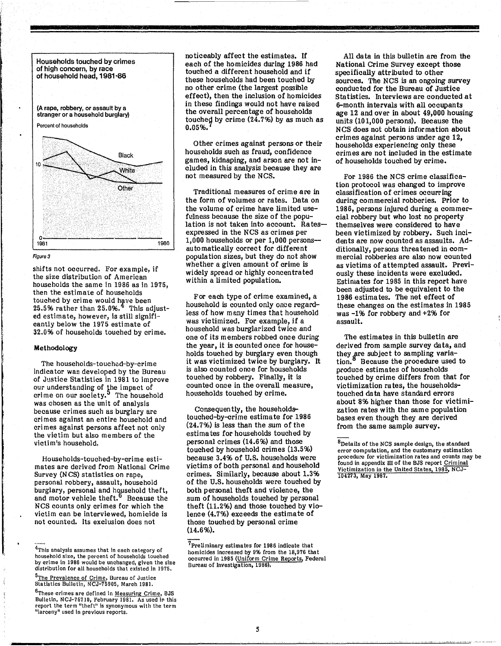

#### Figure 3

shifts not occurred. For example, if the size distribution of American households the same in 1986 as in 1975, then the estimate of households touched by crime would have been  $25.5\%$  rather than  $25.0\%$ . <sup>4</sup> This adjusted estimate, however, Is still significantly below the 1975 estimate of 32.096 of households touched by crime.

#### Methodology

!

The households-touched-by-crime Indicator wae developed by the Bureau of Justice Statistics in 1981 to improve our understanding of the impact of crime on our society.<sup>3</sup> The household was chosen as the unit of analysis because crimes such as burglary are ori mes against an entire household and crimes against persons affect not only the victim but also members of the victim's household.

Households-touched-by-crime estimates are derived from National Crime Survey (N CS) statistics on rape, personal robbery, assault, household burglary, personal and household theft, and motor vehicle theft.<sup>0</sup> Because the NCS counts only crimes for which the victim can be interviewed, homicide is not counted. Its exclusion does not

<sup>6</sup>These crimes are defined in Measuring Crime, BJS Bulletin, NCJ-75710, February 1981. As used in this report the term "theft" Is synonymous with the term "larceny" used in previous reports.

noticeably affect the estimates. If each of the homicides during 1986 had touched a different household and if these households had been touched by no other crime (the largest possible effect), then the inclusion of homicides in these findings would not have raised the overall percentage of households touched by crime  $(24.7%)$  by as much as 0.0596.

other crimes against persons or their households such as fraud, confidence games, kidnaping, and arson are not included in this analysis because they are not measured by the NCS.

Traditional measures of crime are in the form of volumes or rates. Data on the volume of crime have limited usefulness because the size of the population is not taken into account. Ratesexpressed in the NCS as crimes per 1,000 households or per 1,000 personsautomatically correct for different population sizes, but they do not show whether a given amount of crime is widely spread or highly concentrated within a limited population.

For each type of crime examined, a household is counted only once regardless of how many times that household was victimized. For example, if a household was burglarized twice and one of its members robbed once during the year, it is counted once for households touched by burglary even though it was victimized twice by burglary. It is also counted once for households touched by robbery. Finally, it is counted once in the overall measure, households touched by crime.

Consequen tly, the householdstouched-by-crime estimate for 1986  $(24.7%)$  is less than the sum of the estima tes for households touched by personal crimes (14.6%) and those touched by household crimes (13.5%) because 3.496 of U.S. households were victims of both personal and household crimes. Similarly, because about 1.396 of the U.S. households were touched by both personal theft and violence, the sum of households touched by personal theft (11.2%) and those touched by violence (4.796) exceeds the estimate of those touched by personal crime (14.696).

7prellminary estimates for 1986 indicate that homicides increased by 9% from the 18,976 that occurred in 1985 (Uniform Crime Reports, Federal Bureau of Investigation, 1986).

All data in this bulletin are from the National Crime Survey except those specifically attributed to other sources. The NCS is an ongoing survey conducted for the Bureau of Justice Statistics. Interviews are conducted at 6-month intervals with all occupants age 12 and over in about 49,000 housing units (101,000 persons). Because the NCS does not obtain inf()rmation about crimes against persons under age 12, households experiencing only these crimes are not included in the estimate of households touched by crime.

ISBN 45578-70205-0-0-0-0-0-0-0-0-0-0

For 1986 the NCS crime classification protocol was changed to improve classification of crimes occurring during commercial robberies. Prior to 1986, persons injured during a commercial robbery but who lost no property themselves were considered to have been victimized by robbery. Such incidents are now counted as assaults. Additionally, persons threatened in commercial robberies are also now counted as victims of attempted assault. Previously these incidents were excluded. Estimates for 1985 in this report have been adjusted to be equivalen t to the 1986 estima tes. The net effect of these changes on the estimates in 1985 was -196 for robbery and +296 for assault.

The estimates in this bulletin are derived from sample survey data, and they are subject to sampling variation.<sup>8</sup> Because the procedure used to produce estimates of households touched by crime differs from that for victimization ra tes, the householdstouched data have standard errors about 896 higher than those for victimization rates with the same population bases even though they are derived from the same sample survey.

<sup>&</sup>lt;sup>4</sup>This analysis assumes that in each category of household size, the percent of households touched by crime in 1986 would be unchanged, given the size distribution for all households that existed In 1975.

<sup>5</sup>The Prevalence of Crime, Bureau of Justice Statistics Bulletin, NCJ-75905, March 1981.

 ${}^{8}$ Details of the NCS sample design, the standard error computation, and the customary estimation procedure for victimization rates and counts may be found in appendix III of the BJS report Criminal Victimization in the United States, 1985, NCJ-104273, May 1987.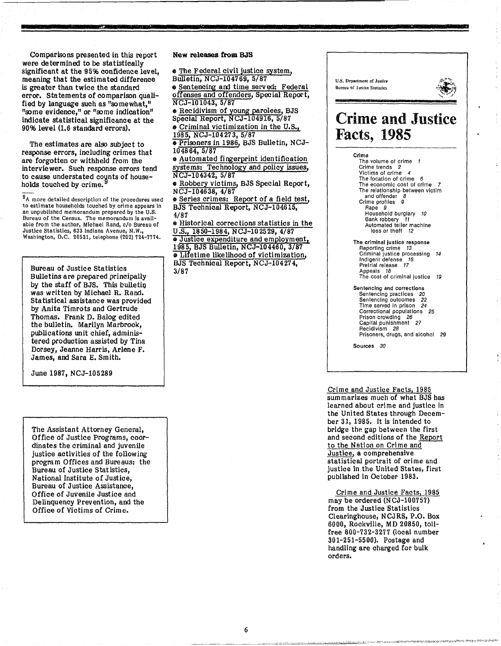Comparisons presented in this report were determined to be statistically significant at the 95% confidence level, meaning that the estimated difference is greater than twice the standard error. statements of comparison qualified by language such as "somewhat," "some evidence," or "some indication" indicate statistical significance at the 90% level (1.6 standard errors).

The estimates are also subject to response errors, including crimes that are forgotten or withheld from the interviewer. Such response errors tend to cause understated counts of households touched by crime.

 $9A$  more detailed description of the procedures used to estimate households touched by crime appears in an unpublished memorandum prepared by the U.S. Bureau of the Census. The memorandum Is available from the author, Michael Rand, *clo* Bureau of Justice Statistics, 633 Indiana Avenue, N.W.,<br>Washington, D.C. 20531, telephone (202) 724-7774.

Bureau of Justice Statistics Bulletins are prepared principally by the staff of BJS. This bulletin was written by Michael R. Rand. Statistical assistance was provided by Anita Timrots and Gertrude Thomas. Frank D. Balog edited the bulletin. Marilyn Marbrook, publications unit chief, administered production assisted by Tina Dorsey, Jeanne Harris, Arlene F. James, and Sara E. Smith.

June 1987, NCJ-105289

The Assistant Attorney General, Office of Justice Programs, coordinates the criminal and juvenile justice activities of the following program Offices and Bureaus: the Bureau of Justice Statistics, National Institute of Justice, Bureau of Justice Assistance, Office of Juvenile Justice and Delinquency Prevention, and the Office of Victims of Crime.

#### New releases from BJS

• The Federal civil justice system, Bulletin, NCJ-104769, 5/87

• Sentencing and time served: Federal offenses and offenders, Special Report, NCJ-101043, 5/87

• Recidivism of young parolees, BJS Special Report, NCJ-104916, 5/87 e Criminal victimization in the U.S.,

1985, NCJ-104273, 5/87 • Prisoners in 1986, BJS Bulletin, NCJ-

104864,5/87 • Automated fingerprint identification systems: Technology and policy issues, NCJ-104342, 5/87

• Robbery victims, BJS Special Report, NCJ-104638, 4/87

• Series crimes: Report of a field test, BJS Technical Report, NCJ-104615, 1/87

• Historical corrections statistics in the U.S., 1850-1984, NCJ-102529, 4/87 e Justice expenditure and employment, 1985 BJS Bulletin, NCJ-104460, 3/87  $\bullet$  Lifetime likelihood of victimization, BJS Technical Report, NCJ-104274, 3/87



**'I** 

Crime and Justice Facts, 1985 summarizes much of what BJS has learned about crime and justice in the United States through December 31, 1985. It is intended to bridge the gap between the first and second editions of the Report to the Nation on Crime and Justice, a comprehensive statistical portrait of crime and justice in the United States, first published in October 1983.

Crime and Justice Facts, 1985 may be ordered (NCJ-I00757) from the Justice Statistics Clearinghouse, NCJRS, P.O. Box 6000, Rockville, MD 20850, tollfree 800-732-3277 (local number 301-251-5500). Postage and handling are charged for bulk orders.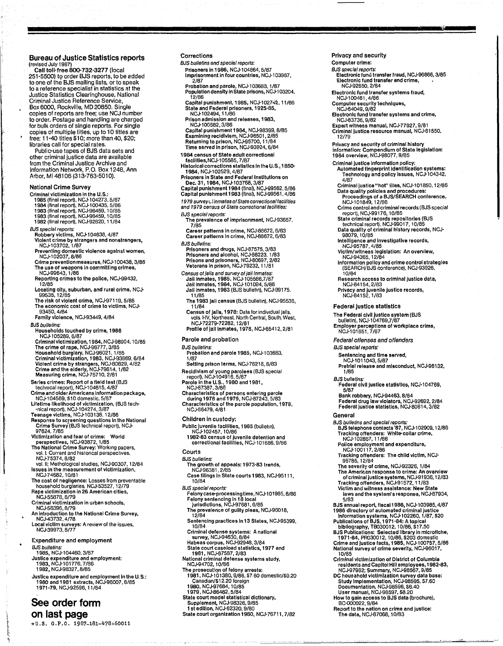### Bureau **of** Justice Statistics reports

(revised July 1987)<br>Call toll-free 800-732-3277 (local<br>251-5500) to order BJS reports, to be added<br>to one of the BJS mailing lists, or to speak<br>to a reference specialist in statistics at the Justice Statistics Clearinghouse, National Criminal Justice Reference Service, Box 6000, Rockville, MD 20850. Single copies of reports are free; use NCJ number to order. Postage and handling are charged for bulk orders of single reports. For single copies of multiple tities, up to 10 tliles are free; 11-40 titles \$1 0; more than 40, \$20; libraries call for special rates. Public-use tapes of BJS data sets and

other criminal justice data are available from the Criminal Justice Archive and Information Network, P.O. Box 1248, Ann Arbor, MI481 06 (313-763-5010).

#### National Crime Survey

- Criminal victimization in the U.S.
- 1985 (final report), NCJ-104273, 5/87<br>1984 (final report), NCJ-100435, 5/86<br>1983 (final report), NCJ-96459, 10/65<br>1983 (final report), NCJ-96459, 10/85<br>1982 (final report), NCJ-92820, 11/84
- 
- 
- 
- *BJS special reports*:<br> Robbery victims, NCJ-104638, 4/87<br> Violent crime by strangers and nonstrangers,<br> NCJ-103702, 1/87
- Preventing domestic violence against women,
- NCJ.l02037,6/66 Crime prevention measures, NCJ.l 00438. 3/86
- The use of weapons In committing crimes, NCJ.99643. 1/66 Reporting crimes to the police, NCJ.99432.
- 12/85 Locating city, suburban, and rural crime, NCJ.
- 
- 99535, 12/85 The risk of violent crime, NCJ.97119. 5/85 The economic cost of crime to victims, NCJ. 93450.4/84
- Family violence, NCJ·93449. 4/84
- BJS bulletins:
- Households touched by crime, 1966 NCJ.l05269. 6/87
- Criminal Vlctlmlzation,1984, NCJ.96904. 10/65 The crime of rape, NCJ.96777. *3/85*  Household burglary, NCJ-96021, 1/85<br>Criminal victimization, 1983, NCJ-93869, 6/84<br>Violent crime by strangers, NCJ-80829, 4/82<br>Crime and the elderly, NCJ-79614, 1/82<br>Measuring crime, NCJ-75710, 2/81
- Series crimes: Report of a field test (BJS<br>- technical report), NCJ-104615, 4/87<br>Crime and older Americans information package,<br>- NCJ-104569, \$10 domestic, 5/87
- 
- 
- Lifetime likelihood of victimization, (BJS tech-<br>·nical report), NCJ-104274, 3/87<br>Teenage victims, NCJ-103138, 12/86<br>Response to screening questions in the National<br>Crime Survey (BJS lechnical report), NCJ-
- 
- 97624.7/65 Victimization and fear of crime: World perspectives, NCJ.93672. 1/85 The National Crime Survey: Working papers. vol. I: Current and histOrical perspectives. NCJ.75374,8/62
- vol. II: Methologlcal stlldies. NCJ.90307. 12/64 Issues In the measurement of victimization, NCJ.74662,10/81
- The cost of negligence: Losses from preventable<br>household burglaries, NCJ-53527, 12/79<br>Rape victimization in 26 American cities,<br>NCJ-55878, 8/79
- 
- Criminal victimization in urban schools, NCJ.56396.8179
- An Introduction to the National Crime Survey,
- NCJ.43732.4176
- Local victim surveys: A review of the issues. NCJ.39973, 6/77
- Expenditure and employment
- BJS bulle/ins: 1985, NCJ.I04460. 3/87
- Justice expenditure and employment:<br>| 1983, NCJ-101776, 7/86<br>| 1982, NCJ-98327, 8/85
- Justice expenditure and employment In the U. S.: 1980 and 1981 extracts. NCJ.96oo7. 6/85 1971·79. NCJ.92596. 11/84

### **See order fonn on last page**

\*U.S, G.P,O. 1987-181-478.60011

#### Corrections

- BJS bulletins and spacial reports: Prisoners In 1986, NCJ.l04664, 5/67
- Imprisonment in four countries, NCJ-103967,<br>
2/87 2/87 Probation and parole, NCJ.l03663. 1/67
- Population density in State prisons, NCJ-103204, 12/66
- Capital punishment, 1985, NCJ-1027⊹≥, 11/86<br>State and Federal prisoners, 1925-85, NCJ.l02494,11/86
- Prison admission and releases, 1983, NCJ.l 00562. 3/66
- Capital punishment 1984, NCJ-98399, 8/85<br>Examining recidivism, NCJ-96501, 2/85<br>Returning to prison, NCJ-95700, 11/84 Time served In prison, NCJ·93924, 6/84
- 1984 census of State adult correctional
- facilities,NCJ-105585, 7/87<br>Historical corrections statistics in the U.S., 1850-<br>1984, NCJ-102529, 4/87
- Prisoners in State and Federal Institutions on<br> Dec. 31, 1984, NCJ-103768, 3/67<br>Capital punishment 1984 (final), NCJ-99562, 5/86<br>Capital punishment 1983 (final), NCJ-99561, 4/86
- 1979 survey Llinmates of State correctional facilities and 1979 census of State correctional facilities:
- BJS special reports: The prevalence of imprisonment, NCJ-93657.<br>7/85
- Career patterns in crime, NCJ-88672, 6/83<br>Career patterns in crime, NCJ-88672, 6/83 BJS bulletins:
- Prisoners and drugs, NCJ·67575. 3/63 Prisoners and alcohol, NCJ-86223, 1/83<br>Prisons and prisoners, NCJ-80697, 2/82<br>Veterans in prison, NCJ-79232, 11/81
- Census of /alls and survey of /all Inmates:<br>
Jail Inmates, 1985, NCJ-105586.7/87<br>
Jail Inmates, 1984, NCJ-101094, 5/86<br>
Jail Inmates, 1983 (BJS bulletin), NCJ-99175.<br>
11/85
- The 1983 Jail census (BJS bulletin), NCJ·95536,
- 11/84 Census of Jails, 1978: Data for individual Jails,<br>vols. HV, Northeast, North Central, South, West,<br>NCJ-72279-72282, 12/81
- Profile of Jail Inmates, 1978, NCJ.65412. 2/61

#### Parole and probation

- BJS bulletins: Probation and parole 1985, NCJ-103683. 1/87
- Setting prison terms, NCJ-76218, 8/83
- Recidivism of young parolees (BJS special<br>report). NCJ-104916, 5/87
- Parole In the U.S., 1980 and 1981, NCJ·67367.3/86
- Characteristics of persons entering parole during 1976 and 1979, NCJ·87243. 5/63
- Characteristics 0/ the parole population, 1976. NCJ.66479.4/61
- Children In custody:
- Public juvenile facilities, 1985 (bulletin).
	- NCJ·102457.10/66 1982·83 census of juvenile detention and correctional facilities, NCJ-101686, 9/86

#### **Courts**

- BJS bulletins:
- 
- The growth of appeals: 1973-83 trends,<br>| NCJ-96381, 2/85<br>Case filings in State courts 1983, NCJ-95111, 10/64
- BJS special reports:
- Felonycase-processingtime, NCJ-101985, 8/86<br>Felony sentencing in 18 local<br>\_jurisdictions, NCJ-97681, 6/85<br>The prevalence of guilty pleas, NCJ-96018,
- 
- 12/84
- Sentencing practices in 13 States, NCJ-95399,<br>10/84
- 
- 
- 
- 
- 10/84<br>
Criminal defense systems: A national<br>
survey, NCJ-94630, 8/84<br>
Habeas corpus, NCJ-92948, 3/84<br>
State court caseload statistics, 1977 and<br>
1981, NCJ-97587, 2/83<br>
National criminal defense systems study,<br>
NCJ-94702,
- 
- State court model statistical dictionary, Supplement, NCJ.98326. 9/65 1 st edition, NCJ·62320. 9/60
- Slate court organization 1980, NCJ'76711, 7/82

#### Privacy and security

- Computer crime:
- BJS speaial reports:
- Electronic fund transfer fraud, NCJ-96666, 3/85 Electronic fund transfer and crime, NCJ·92660. 2/84
- Electronic fund transfer systems fraud,
- 
- NCJ'l 00461,4/86 Computer security techniques, NCJ·84049. *9/82*
- Electronic fund transfer systems and crime, NCJ-83736. 9/82
- Expel1 witness manual, NCJ.77927, 9/61 Criminal Justice resource manual, NCJ·61550. *12179*
- Privacy and security of criminal history Information: Compendium of State legislation: 1984 overview, NCJ-96077, 9/85
- Criminal Justice Information policy:
- Automated fingerprint Identification systems: Technology and policy Issues, NCJ.l04342,
- 4/87 Criminal Justice "hot" 11109, NCJ·101850. 12/66 Data quality pOlicies and procedures: Proceedings 01 a BJS/SEARCH conference, NCJ.l01649.12/86
- 
- 

Inteiligonco and Investigative records, NCJ·95767.4/85 Victim/witness legislation: An overview,

NCJ.94365. 12/84

Federal Justice statistics

Federal offenses and offenders

Sentencing and time served,<br>NCJ-1011043, 5/87

Bank robbory, NCJ.94463, 8/64

NCJ.l01651.7/67

BJS special reports:

1/65 BJS bulletins:

General

10/64

Crime control and criminal records (BJS special<br>report), NCJ-99176, 10/65<br>State criminal records repositories (BJS<br>technical report), NCJ-99017, 10/85<br>Data quality of criminal history records, NCJ-<br>98079, 10/85

Information policy and crime control strategies<br>(SEARCH/BJS conference), NCJ-93926.

Research access to criminal justice data, NCJ·64154. 2/83 Privacy and juvenile Justice records, NCJ·84152.1/63

The Federal civil Justice systam (BJS bulletin), NCJ·l04769,7/67 Employer perceptions of workplace crime,

Pretrial release and misconduct, NCJ·96132.

Federal civil Justice statistics, NCJ·l04769, 5/67

Federal drug law violators, NCJ-92692, 2/84<br>Federal justice statistics, NCJ-80814, 3/82

BJS bulletins and special reports:<br>BJS telephone contacts '87, NCJ-102909, 12/86<br>Tracking offenders: White-collar crime,<br>NCJ-102867, 11/86

BJS annual report, fiscal 1986, NCJ-103985, 4/87<br>1986 directory of automated criminal justice<br>micromation systems, NCJ-102260, 1/87, \$20<br>Publications of BJS, 1971-84: A topical<br>bibliography, TB030012, 10/86, \$17.50<br>BJS Pub

Criminal victimization of District of Columbia residents and Capitol Hill employees, 1982-83,<br>NCJ-97982; Summary, NCJ-98567, 9/85<br>DC housahold victimization survey data base:

Study Implementation, NCJ.96595. S7.60 Documentation, NCJ.98596. \$6.40 User manual, NCJ.98597. \$8.20 How to gain access to BJS data (brochure). BC-000022.9/84

Report to the nation on crime and Justice: The dota, NCJ·67068. 10/83

Police employment and expenditure, NCJ.l00117.2/86 Tracking oHenders: The child victim, NCJ· 95765. 12/84 The severity of crime, NCJ-92326, 1/84<br>The American response to crime: An overview of criminal Justice systems, NCJ.91936. 12/83 Tracking offenders, NCJ-91572, 11/83<br>Victim and witness assistance: New State laws and the system's responso, NCJ·67934, 5/63